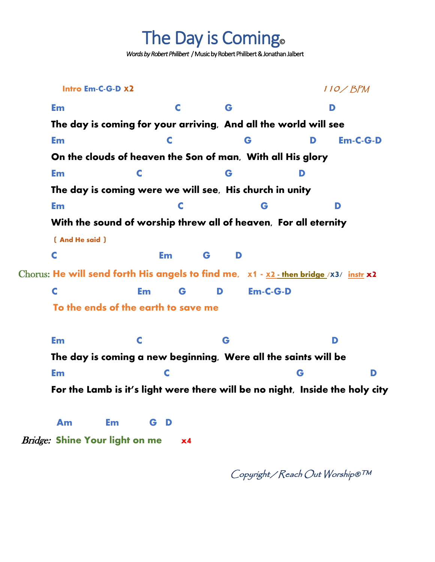The Day is Coming.

 *Words by Robert Philibert* /Music by Robert Philibert & Jonathan Jalbert

 **Intro Em-C-G-D <sup>X</sup>2** <sup>110</sup>/ BPM **Em C G D The day is coming for your arriving, And all the world will see Em C G D Em-C-G-D On the clouds of heaven the Son of man, With all His glory Em C G D The day is coming were we will see, His church in unity Em C G D With the sound of worship threw all of heaven, For all eternity ( And He said ) C Em G D**  Chorus: **He will send forth His angels to find me, X1 - <sup>X</sup>2 - then bridge /X3/ instr <sup>x</sup>2 C Em G D Em-C-G-D To the ends of the earth to save me Em C G D The day is coming a new beginning, Were all the saints will be Em C G D For the Lamb is it's light were there will be no night, Inside the holy city Am Em G D** Bridge: **Shine Your light on me x4**

Copyright / Reach Out Worship®™